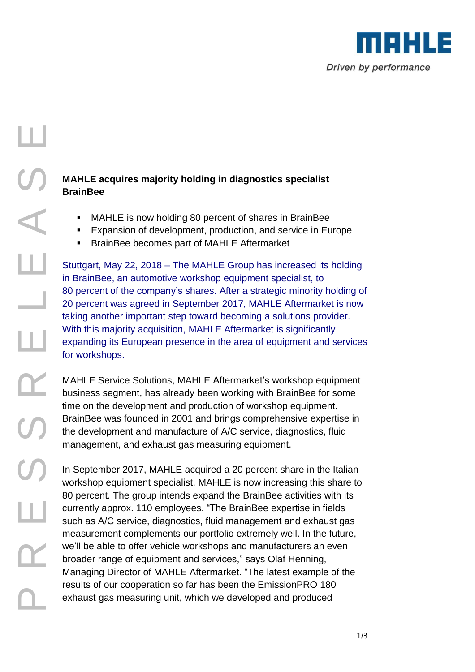

### R PRESSED TO DELLE DE CRIPT CONTROLLED THE CRIPT CONTROLLED TO BUT THE CRIPT CONTROLLED TO BUT THE CRIPT CONTROLLED TO BUT THE CRIPT CONTROLLED TO BUT THE CRIPT CONTROLLED TO BUT THE CRIPT CONTROLLED TO BUT THE CRIPT CONTR ш  $\blacktriangle$ ш ۰ Щ ┸  $\mathbf{\Omega}_{-}$

### **MAHLE acquires majority holding in diagnostics specialist BrainBee**

- MAHLE is now holding 80 percent of shares in BrainBee
- **Expansion of development, production, and service in Europe**
- **BrainBee becomes part of MAHLE Aftermarket**

Stuttgart, May 22, 2018 – The MAHLE Group has increased its holding in BrainBee, an automotive workshop equipment specialist, to 80 percent of the company's shares. After a strategic minority holding of 20 percent was agreed in September 2017, MAHLE Aftermarket is now taking another important step toward becoming a solutions provider. With this majority acquisition, MAHLE Aftermarket is significantly expanding its European presence in the area of equipment and services for workshops.

MAHLE Service Solutions, MAHLE Aftermarket's workshop equipment business segment, has already been working with BrainBee for some time on the development and production of workshop equipment. BrainBee was founded in 2001 and brings comprehensive expertise in the development and manufacture of A/C service, diagnostics, fluid management, and exhaust gas measuring equipment.

In September 2017, MAHLE acquired a 20 percent share in the Italian workshop equipment specialist. MAHLE is now increasing this share to 80 percent. The group intends expand the BrainBee activities with its currently approx. 110 employees. "The BrainBee expertise in fields such as A/C service, diagnostics, fluid management and exhaust gas measurement complements our portfolio extremely well. In the future, we'll be able to offer vehicle workshops and manufacturers an even broader range of equipment and services," says Olaf Henning, Managing Director of MAHLE Aftermarket. "The latest example of the results of our cooperation so far has been the EmissionPRO 180 exhaust gas measuring unit, which we developed and produced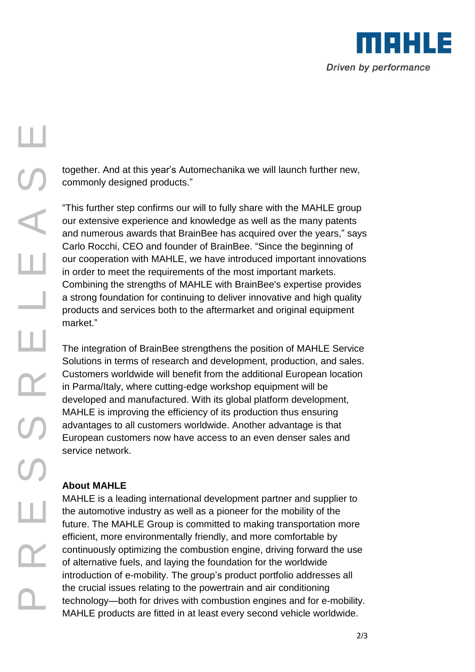

# R E S S R E L E A S E Ш

Ц

 $\overline{\phantom{0}}$ 

Щ

together. And at this year's Automechanika we will launch further new, commonly designed products."

"This further step confirms our will to fully share with the MAHLE group our extensive experience and knowledge as well as the many patents and numerous awards that BrainBee has acquired over the years," says Carlo Rocchi, CEO and founder of BrainBee. "Since the beginning of our cooperation with MAHLE, we have introduced important innovations in order to meet the requirements of the most important markets. Combining the strengths of MAHLE with BrainBee's expertise provides a strong foundation for continuing to deliver innovative and high quality products and services both to the aftermarket and original equipment market."

The integration of BrainBee strengthens the position of MAHLE Service Solutions in terms of research and development, production, and sales. Customers worldwide will benefit from the additional European location in Parma/Italy, where cutting-edge workshop equipment will be developed and manufactured. With its global platform development, MAHLE is improving the efficiency of its production thus ensuring advantages to all customers worldwide. Another advantage is that European customers now have access to an even denser sales and service network.

### **About MAHLE**

 $\mathbf{\Omega}_{-}$ 

Щ

MAHLE is a leading international development partner and supplier to the automotive industry as well as a pioneer for the mobility of the future. The MAHLE Group is committed to making transportation more efficient, more environmentally friendly, and more comfortable by continuously optimizing the combustion engine, driving forward the use of alternative fuels, and laying the foundation for the worldwide introduction of e-mobility. The group's product portfolio addresses all the crucial issues relating to the powertrain and air conditioning technology—both for drives with combustion engines and for e-mobility. MAHLE products are fitted in at least every second vehicle worldwide.